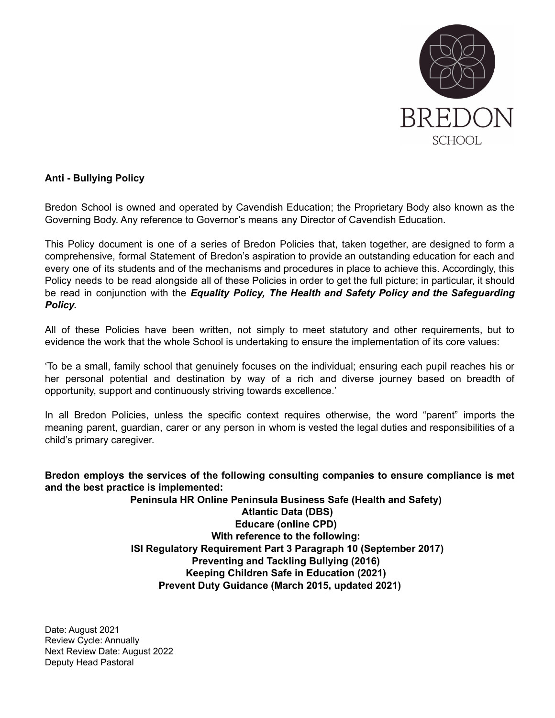

#### **Anti - Bullying Policy**

Bredon School is owned and operated by Cavendish Education; the Proprietary Body also known as the Governing Body. Any reference to Governor's means any Director of Cavendish Education.

This Policy document is one of a series of Bredon Policies that, taken together, are designed to form a comprehensive, formal Statement of Bredon's aspiration to provide an outstanding education for each and every one of its students and of the mechanisms and procedures in place to achieve this. Accordingly, this Policy needs to be read alongside all of these Policies in order to get the full picture; in particular, it should be read in conjunction with the *Equality Policy, The Health and Safety Policy and the Safeguarding Policy.*

All of these Policies have been written, not simply to meet statutory and other requirements, but to evidence the work that the whole School is undertaking to ensure the implementation of its core values:

'To be a small, family school that genuinely focuses on the individual; ensuring each pupil reaches his or her personal potential and destination by way of a rich and diverse journey based on breadth of opportunity, support and continuously striving towards excellence.'

In all Bredon Policies, unless the specific context requires otherwise, the word "parent" imports the meaning parent, guardian, carer or any person in whom is vested the legal duties and responsibilities of a child's primary caregiver.

**Bredon employs the services of the following consulting companies to ensure compliance is met and the best practice is implemented:**

> **Peninsula HR Online Peninsula Business Safe (Health and Safety) Atlantic Data (DBS) Educare (online CPD) With reference to the following: ISI Regulatory Requirement Part 3 Paragraph 10 (September 2017) Preventing and Tackling Bullying (2016) Keeping Children Safe in Education (2021) Prevent Duty Guidance (March 2015, updated 2021)**

Date: August 2021 Review Cycle: Annually Next Review Date: August 2022 Deputy Head Pastoral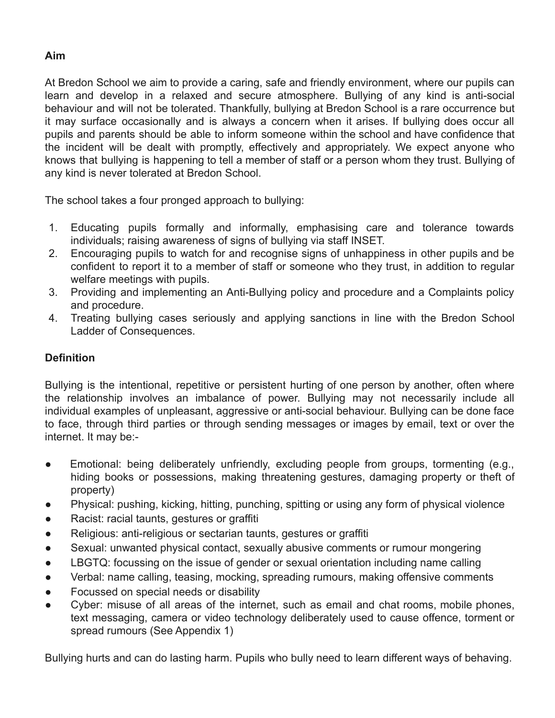#### **Aim**

At Bredon School we aim to provide a caring, safe and friendly environment, where our pupils can learn and develop in a relaxed and secure atmosphere. Bullying of any kind is anti-social behaviour and will not be tolerated. Thankfully, bullying at Bredon School is a rare occurrence but it may surface occasionally and is always a concern when it arises. If bullying does occur all pupils and parents should be able to inform someone within the school and have confidence that the incident will be dealt with promptly, effectively and appropriately. We expect anyone who knows that bullying is happening to tell a member of staff or a person whom they trust. Bullying of any kind is never tolerated at Bredon School.

The school takes a four pronged approach to bullying:

- 1. Educating pupils formally and informally, emphasising care and tolerance towards individuals; raising awareness of signs of bullying via staff INSET.
- 2. Encouraging pupils to watch for and recognise signs of unhappiness in other pupils and be confident to report it to a member of staff or someone who they trust, in addition to regular welfare meetings with pupils.
- 3. Providing and implementing an Anti-Bullying policy and procedure and a Complaints policy and procedure.
- 4. Treating bullying cases seriously and applying sanctions in line with the Bredon School Ladder of Consequences.

# **Definition**

Bullying is the intentional, repetitive or persistent hurting of one person by another, often where the relationship involves an imbalance of power. Bullying may not necessarily include all individual examples of unpleasant, aggressive or anti-social behaviour. Bullying can be done face to face, through third parties or through sending messages or images by email, text or over the internet. It may be:-

- Emotional: being deliberately unfriendly, excluding people from groups, tormenting (e.g., hiding books or possessions, making threatening gestures, damaging property or theft of property)
- Physical: pushing, kicking, hitting, punching, spitting or using any form of physical violence
- Racist: racial taunts, gestures or graffiti
- Religious: anti-religious or sectarian taunts, gestures or graffiti
- Sexual: unwanted physical contact, sexually abusive comments or rumour mongering
- LBGTQ: focussing on the issue of gender or sexual orientation including name calling
- Verbal: name calling, teasing, mocking, spreading rumours, making offensive comments
- Focussed on special needs or disability
- Cyber: misuse of all areas of the internet, such as email and chat rooms, mobile phones, text messaging, camera or video technology deliberately used to cause offence, torment or spread rumours (See Appendix 1)

Bullying hurts and can do lasting harm. Pupils who bully need to learn different ways of behaving.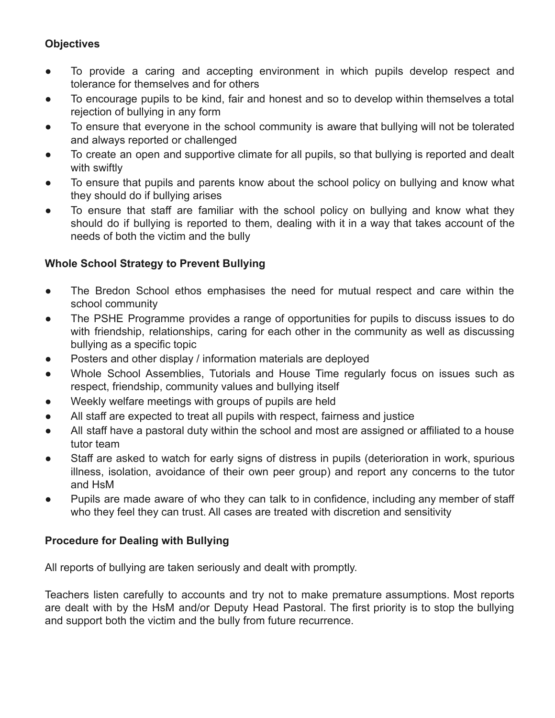# **Objectives**

- To provide a caring and accepting environment in which pupils develop respect and tolerance for themselves and for others
- To encourage pupils to be kind, fair and honest and so to develop within themselves a total rejection of bullying in any form
- To ensure that everyone in the school community is aware that bullying will not be tolerated and always reported or challenged
- To create an open and supportive climate for all pupils, so that bullying is reported and dealt with swiftly
- To ensure that pupils and parents know about the school policy on bullying and know what they should do if bullying arises
- To ensure that staff are familiar with the school policy on bullying and know what they should do if bullying is reported to them, dealing with it in a way that takes account of the needs of both the victim and the bully

### **Whole School Strategy to Prevent Bullying**

- The Bredon School ethos emphasises the need for mutual respect and care within the school community
- The PSHE Programme provides a range of opportunities for pupils to discuss issues to do with friendship, relationships, caring for each other in the community as well as discussing bullying as a specific topic
- Posters and other display / information materials are deployed
- Whole School Assemblies, Tutorials and House Time regularly focus on issues such as respect, friendship, community values and bullying itself
- Weekly welfare meetings with groups of pupils are held
- All staff are expected to treat all pupils with respect, fairness and justice
- All staff have a pastoral duty within the school and most are assigned or affiliated to a house tutor team
- Staff are asked to watch for early signs of distress in pupils (deterioration in work, spurious illness, isolation, avoidance of their own peer group) and report any concerns to the tutor and HsM
- Pupils are made aware of who they can talk to in confidence, including any member of staff who they feel they can trust. All cases are treated with discretion and sensitivity

### **Procedure for Dealing with Bullying**

All reports of bullying are taken seriously and dealt with promptly.

Teachers listen carefully to accounts and try not to make premature assumptions. Most reports are dealt with by the HsM and/or Deputy Head Pastoral. The first priority is to stop the bullying and support both the victim and the bully from future recurrence.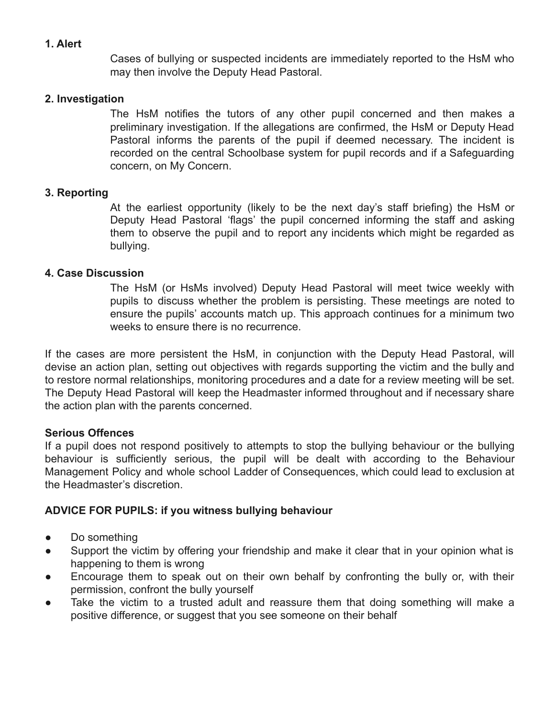#### **1. Alert**

Cases of bullying or suspected incidents are immediately reported to the HsM who may then involve the Deputy Head Pastoral.

#### **2. Investigation**

The HsM notifies the tutors of any other pupil concerned and then makes a preliminary investigation. If the allegations are confirmed, the HsM or Deputy Head Pastoral informs the parents of the pupil if deemed necessary. The incident is recorded on the central Schoolbase system for pupil records and if a Safeguarding concern, on My Concern.

#### **3. Reporting**

At the earliest opportunity (likely to be the next day's staff briefing) the HsM or Deputy Head Pastoral 'flags' the pupil concerned informing the staff and asking them to observe the pupil and to report any incidents which might be regarded as bullying.

#### **4. Case Discussion**

The HsM (or HsMs involved) Deputy Head Pastoral will meet twice weekly with pupils to discuss whether the problem is persisting. These meetings are noted to ensure the pupils' accounts match up. This approach continues for a minimum two weeks to ensure there is no recurrence.

If the cases are more persistent the HsM, in conjunction with the Deputy Head Pastoral, will devise an action plan, setting out objectives with regards supporting the victim and the bully and to restore normal relationships, monitoring procedures and a date for a review meeting will be set. The Deputy Head Pastoral will keep the Headmaster informed throughout and if necessary share the action plan with the parents concerned.

#### **Serious Offences**

If a pupil does not respond positively to attempts to stop the bullying behaviour or the bullying behaviour is sufficiently serious, the pupil will be dealt with according to the Behaviour Management Policy and whole school Ladder of Consequences, which could lead to exclusion at the Headmaster's discretion.

### **ADVICE FOR PUPILS: if you witness bullying behaviour**

- Do something
- Support the victim by offering your friendship and make it clear that in your opinion what is happening to them is wrong
- Encourage them to speak out on their own behalf by confronting the bully or, with their permission, confront the bully yourself
- Take the victim to a trusted adult and reassure them that doing something will make a positive difference, or suggest that you see someone on their behalf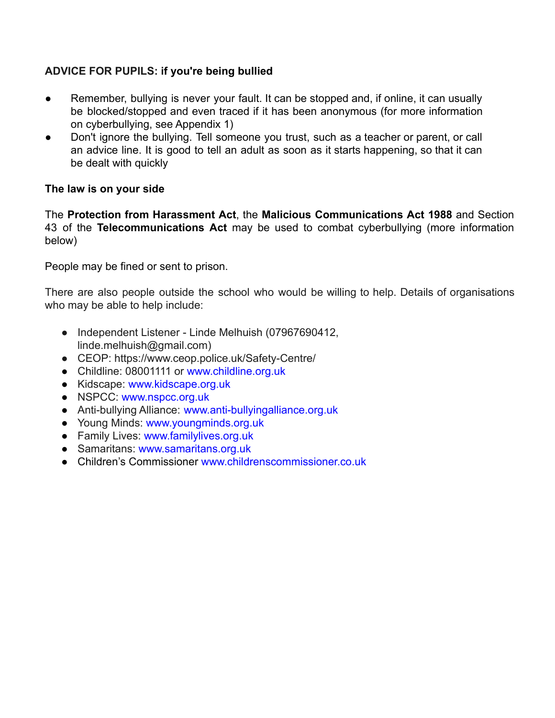## **ADVICE FOR PUPILS: if you're being bullied**

- Remember, bullying is never your fault. It can be stopped and, if online, it can usually be blocked/stopped and even traced if it has been anonymous (for more information on cyberbullying, see Appendix 1)
- Don't ignore the bullying. Tell someone you trust, such as a teacher or parent, or call an advice line. It is good to tell an adult as soon as it starts happening, so that it can be dealt with quickly

### **The law is on your side**

The **Protection from Harassment Act**, the **Malicious Communications Act 1988** and Section 43 of the **Telecommunications Act** may be used to combat cyberbullying (more information below)

People may be fined or sent to prison.

There are also people outside the school who would be willing to help. Details of organisations who may be able to help include:

- Independent Listener Linde Melhuish (07967690412, linde.melhuish@gmail.com)
- CEOP: https://www.ceop.police.uk/Safety-Centre/
- Childline: 08001111 or www.childline.org.uk
- Kidscape: www.kidscape.org.uk
- NSPCC: www.nspcc.org.uk
- Anti-bullying Alliance: www.anti-bullyingalliance.org.uk
- Young Minds: www.youngminds.org.uk
- Family Lives: www.familylives.org.uk
- Samaritans: www.samaritans.org.uk
- Children's Commissioner www.childrenscommissioner.co.uk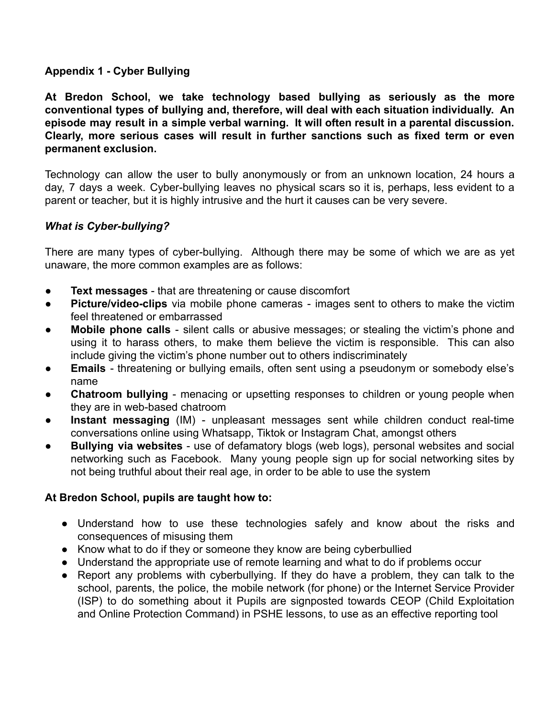### **Appendix 1 - Cyber Bullying**

**At Bredon School, we take technology based bullying as seriously as the more conventional types of bullying and, therefore, will deal with each situation individually. An episode may result in a simple verbal warning. It will often result in a parental discussion. Clearly, more serious cases will result in further sanctions such as fixed term or even permanent exclusion.**

Technology can allow the user to bully anonymously or from an unknown location, 24 hours a day, 7 days a week. Cyber-bullying leaves no physical scars so it is, perhaps, less evident to a parent or teacher, but it is highly intrusive and the hurt it causes can be very severe.

### *What is Cyber-bullying?*

There are many types of cyber-bullying. Although there may be some of which we are as yet unaware, the more common examples are as follows:

- **Text messages** that are threatening or cause discomfort
- **Picture/video-clips** via mobile phone cameras images sent to others to make the victim feel threatened or embarrassed
- **Mobile phone calls** silent calls or abusive messages; or stealing the victim's phone and using it to harass others, to make them believe the victim is responsible. This can also include giving the victim's phone number out to others indiscriminately
- **Emails** threatening or bullying emails, often sent using a pseudonym or somebody else's name
- **Chatroom bullying** menacing or upsetting responses to children or young people when they are in web-based chatroom
- **Instant messaging** (IM) unpleasant messages sent while children conduct real-time conversations online using Whatsapp, Tiktok or Instagram Chat, amongst others
- **Bullying via websites** use of defamatory blogs (web logs), personal websites and social networking such as Facebook. Many young people sign up for social networking sites by not being truthful about their real age, in order to be able to use the system

### **At Bredon School, pupils are taught how to:**

- Understand how to use these technologies safely and know about the risks and consequences of misusing them
- Know what to do if they or someone they know are being cyberbullied
- Understand the appropriate use of remote learning and what to do if problems occur
- Report any problems with cyberbullying. If they do have a problem, they can talk to the school, parents, the police, the mobile network (for phone) or the Internet Service Provider (ISP) to do something about it Pupils are signposted towards CEOP (Child Exploitation and Online Protection Command) in PSHE lessons, to use as an effective reporting tool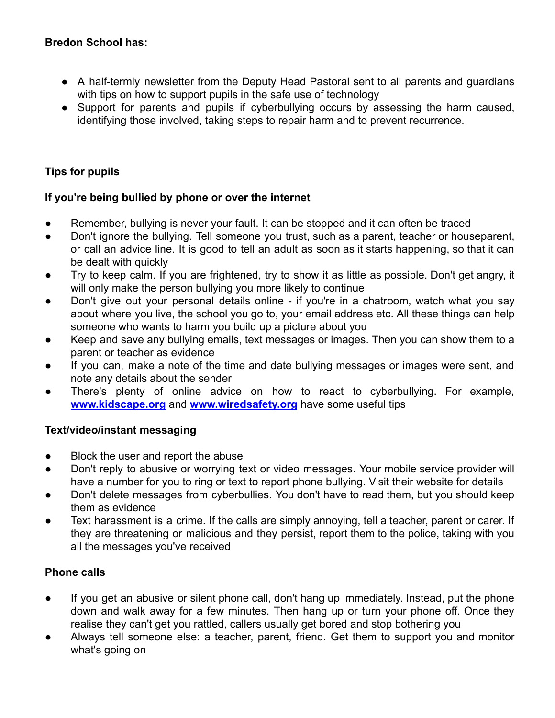### **Bredon School has:**

- A half-termly newsletter from the Deputy Head Pastoral sent to all parents and quardians with tips on how to support pupils in the safe use of technology
- Support for parents and pupils if cyberbullying occurs by assessing the harm caused, identifying those involved, taking steps to repair harm and to prevent recurrence.

# **Tips for pupils**

## **If you're being bullied by phone or over the internet**

- Remember, bullying is never your fault. It can be stopped and it can often be traced
- Don't ignore the bullying. Tell someone you trust, such as a parent, teacher or houseparent, or call an advice line. It is good to tell an adult as soon as it starts happening, so that it can be dealt with quickly
- Try to keep calm. If you are frightened, try to show it as little as possible. Don't get angry, it will only make the person bullying you more likely to continue
- Don't give out your personal details online if you're in a chatroom, watch what you say about where you live, the school you go to, your email address etc. All these things can help someone who wants to harm you build up a picture about you
- Keep and save any bullying emails, text messages or images. Then you can show them to a parent or teacher as evidence
- If you can, make a note of the time and date bullying messages or images were sent, and note any details about the sender
- There's plenty of online advice on how to react to cyberbullying. For example, **[www.kidscape.org](http://www.kidscape.org)** and **[www.wiredsafety.org](http://www.wiredsafety.org)** have some useful tips

### **Text/video/instant messaging**

- Block the user and report the abuse
- Don't reply to abusive or worrying text or video messages. Your mobile service provider will have a number for you to ring or text to report phone bullying. Visit their website for details
- Don't delete messages from cyberbullies. You don't have to read them, but you should keep them as evidence
- Text harassment is a crime. If the calls are simply annoying, tell a teacher, parent or carer. If they are threatening or malicious and they persist, report them to the police, taking with you all the messages you've received

### **Phone calls**

- If you get an abusive or silent phone call, don't hang up immediately. Instead, put the phone down and walk away for a few minutes. Then hang up or turn your phone off. Once they realise they can't get you rattled, callers usually get bored and stop bothering you
- Always tell someone else: a teacher, parent, friend. Get them to support you and monitor what's going on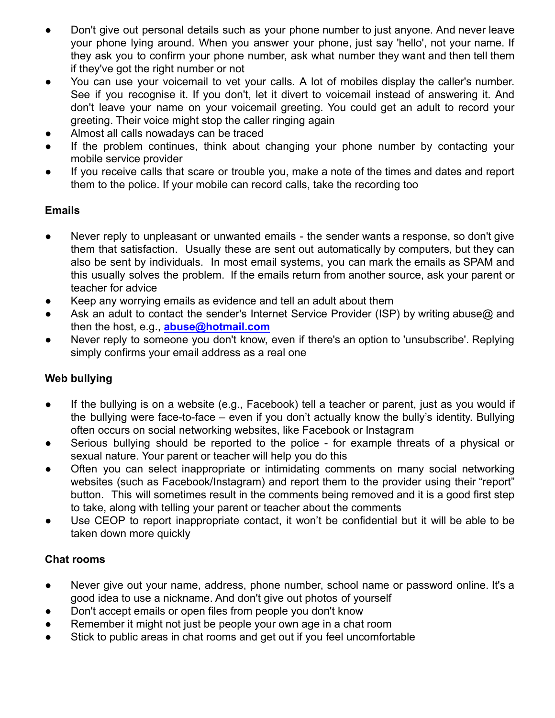- Don't give out personal details such as your phone number to just anyone. And never leave your phone lying around. When you answer your phone, just say 'hello', not your name. If they ask you to confirm your phone number, ask what number they want and then tell them if they've got the right number or not
- You can use your voicemail to vet your calls. A lot of mobiles display the caller's number. See if you recognise it. If you don't, let it divert to voicemail instead of answering it. And don't leave your name on your voicemail greeting. You could get an adult to record your greeting. Their voice might stop the caller ringing again
- Almost all calls nowadays can be traced
- If the problem continues, think about changing your phone number by contacting your mobile service provider
- If you receive calls that scare or trouble you, make a note of the times and dates and report them to the police. If your mobile can record calls, take the recording too

## **Emails**

- Never reply to unpleasant or unwanted emails the sender wants a response, so don't give them that satisfaction. Usually these are sent out automatically by computers, but they can also be sent by individuals. In most email systems, you can mark the emails as SPAM and this usually solves the problem. If the emails return from another source, ask your parent or teacher for advice
- Keep any worrying emails as evidence and tell an adult about them
- Ask an adult to contact the sender's Internet Service Provider (ISP) by writing abuse@ and then the host, e.g., **[abuse@hotmail.com](mailto:abuse@hotmail.com)**
- Never reply to someone you don't know, even if there's an option to 'unsubscribe'. Replying simply confirms your email address as a real one

# **Web bullying**

- If the bullying is on a website (e.g., Facebook) tell a teacher or parent, just as you would if the bullying were face-to-face – even if you don't actually know the bully's identity. Bullying often occurs on social networking websites, like Facebook or Instagram
- Serious bullying should be reported to the police for example threats of a physical or sexual nature. Your parent or teacher will help you do this
- Often you can select inappropriate or intimidating comments on many social networking websites (such as Facebook/Instagram) and report them to the provider using their "report" button. This will sometimes result in the comments being removed and it is a good first step to take, along with telling your parent or teacher about the comments
- Use CEOP to report inappropriate contact, it won't be confidential but it will be able to be taken down more quickly

# **Chat rooms**

- Never give out your name, address, phone number, school name or password online. It's a good idea to use a nickname. And don't give out photos of yourself
- Don't accept emails or open files from people you don't know
- Remember it might not just be people your own age in a chat room
- Stick to public areas in chat rooms and get out if you feel uncomfortable